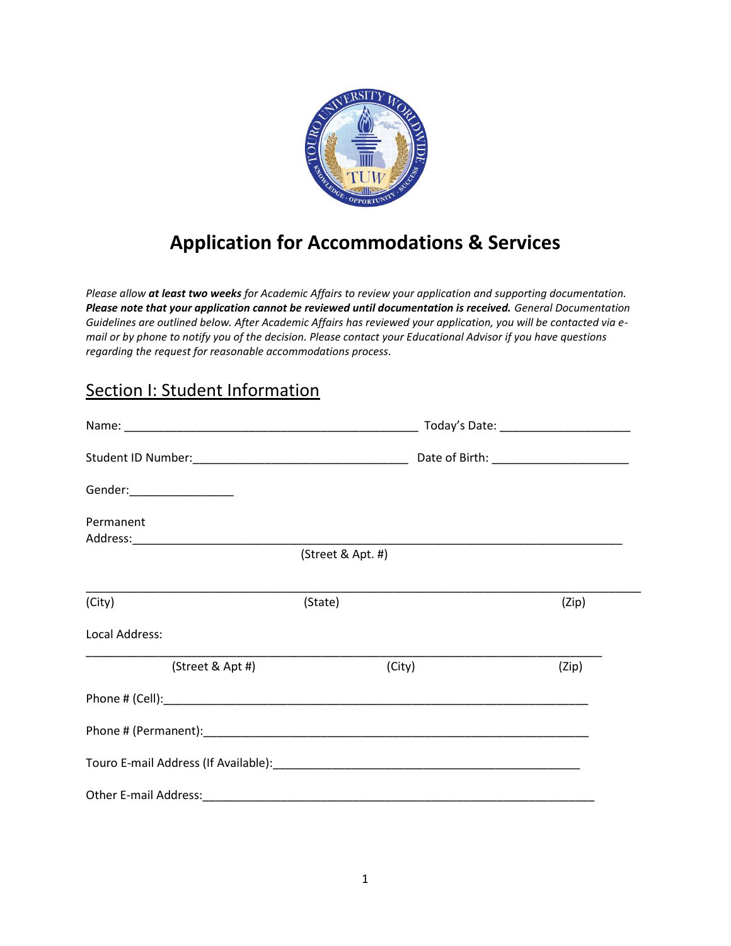

## **Application for Accommodations & Services**

*Please allow at least two weeks for Academic Affairs to review your application and supporting documentation. Please note that your application cannot be reviewed until documentation is received. General Documentation Guidelines are outlined below. After Academic Affairs has reviewed your application, you will be contacted via email or by phone to notify you of the decision. Please contact your Educational Advisor if you have questions regarding the request for reasonable accommodations process.*

## **Section I: Student Information**

|                           | Today's Date: ________________________ |       |
|---------------------------|----------------------------------------|-------|
|                           |                                        |       |
| Gender:__________________ |                                        |       |
| Permanent                 |                                        |       |
|                           | (Street & Apt. #)                      |       |
| (City)                    | (State)                                | (Zip) |
| Local Address:            |                                        |       |
| (Street & Apt #)          | (City)                                 | (Zip) |
|                           |                                        |       |
|                           |                                        |       |
|                           |                                        |       |
|                           |                                        |       |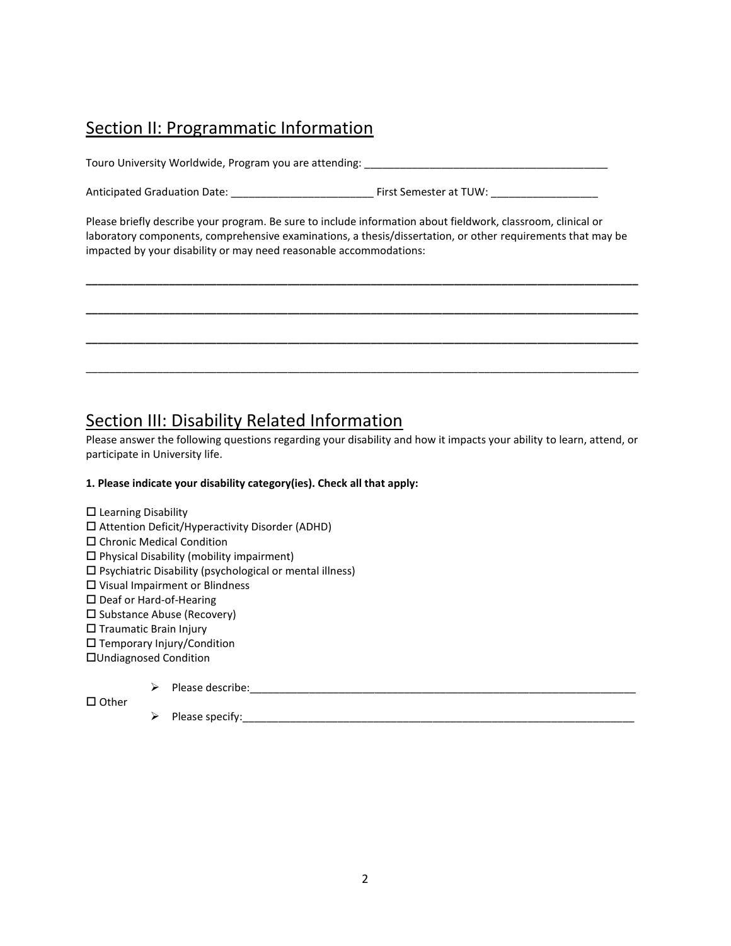## Section II: Programmatic Information

Touro University Worldwide, Program you are attending:

Anticipated Graduation Date: \_\_\_\_\_\_\_\_\_\_\_\_\_\_\_\_\_\_\_\_\_\_\_\_ First Semester at TUW: \_\_\_\_\_\_\_\_\_\_\_\_\_\_\_\_\_\_

Please briefly describe your program. Be sure to include information about fieldwork, classroom, clinical or laboratory components, comprehensive examinations, a thesis/dissertation, or other requirements that may be impacted by your disability or may need reasonable accommodations:

**\_\_\_\_\_\_\_\_\_\_\_\_\_\_\_\_\_\_\_\_\_\_\_\_\_\_\_\_\_\_\_\_\_\_\_\_\_\_\_\_\_\_\_\_\_\_\_\_\_\_\_\_\_\_\_\_\_\_\_\_\_\_\_\_\_\_\_\_\_\_\_\_\_\_\_\_\_\_\_\_\_\_\_\_\_\_\_\_\_\_\_\_\_**

**\_\_\_\_\_\_\_\_\_\_\_\_\_\_\_\_\_\_\_\_\_\_\_\_\_\_\_\_\_\_\_\_\_\_\_\_\_\_\_\_\_\_\_\_\_\_\_\_\_\_\_\_\_\_\_\_\_\_\_\_\_\_\_\_\_\_\_\_\_\_\_\_\_\_\_\_\_\_\_\_\_\_\_\_\_\_\_\_\_\_\_\_\_**

**\_\_\_\_\_\_\_\_\_\_\_\_\_\_\_\_\_\_\_\_\_\_\_\_\_\_\_\_\_\_\_\_\_\_\_\_\_\_\_\_\_\_\_\_\_\_\_\_\_\_\_\_\_\_\_\_\_\_\_\_\_\_\_\_\_\_\_\_\_\_\_\_\_\_\_\_\_\_\_\_\_\_\_\_\_\_\_\_\_\_\_\_\_**

\_\_\_\_\_\_\_\_\_\_\_\_\_\_\_\_\_\_\_\_\_\_\_\_\_\_\_\_\_\_\_\_\_\_\_\_\_\_\_\_\_\_\_\_\_\_\_\_\_\_\_\_\_\_\_\_\_\_\_\_\_\_\_\_\_\_\_\_\_\_\_\_\_\_\_\_\_\_\_\_\_\_\_\_\_\_\_\_\_\_\_\_\_

## Section III: Disability Related Information

Please answer the following questions regarding your disability and how it impacts your ability to learn, attend, or participate in University life.

### **1. Please indicate your disability category(ies). Check all that apply:**

- $\square$  Learning Disability Attention Deficit/Hyperactivity Disorder (ADHD) Chronic Medical Condition  $\square$  Physical Disability (mobility impairment)  $\square$  Psychiatric Disability (psychological or mental illness) Visual Impairment or Blindness □ Deaf or Hard-of-Hearing  $\square$  Substance Abuse (Recovery)  $\square$  Traumatic Brain Injury Temporary Injury/Condition
- Undiagnosed Condition
	- Please describe:\_\_\_\_\_\_\_\_\_\_\_\_\_\_\_\_\_\_\_\_\_\_\_\_\_\_\_\_\_\_\_\_\_\_\_\_\_\_\_\_\_\_\_\_\_\_\_\_\_\_\_\_\_\_\_\_\_\_\_\_\_\_\_\_\_

 $\square$  Other

 $\triangleright$  Please specify: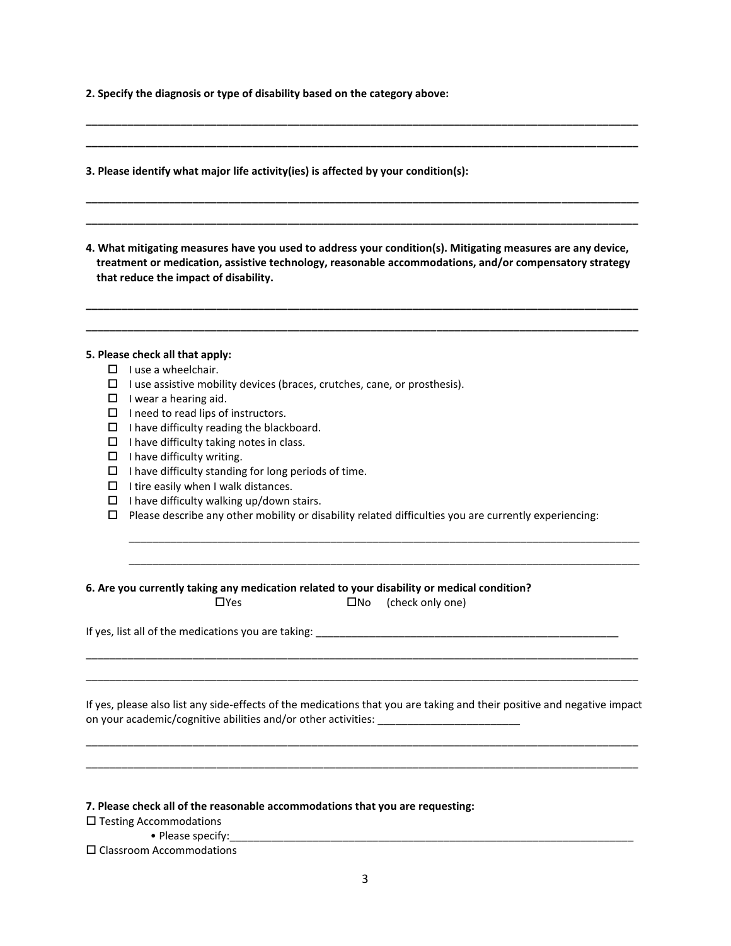**2. Specify the diagnosis or type of disability based on the category above:**

**3. Please identify what major life activity(ies) is affected by your condition(s):** 

**4. What mitigating measures have you used to address your condition(s). Mitigating measures are any device, treatment or medication, assistive technology, reasonable accommodations, and/or compensatory strategy that reduce the impact of disability.** 

**\_\_\_\_\_\_\_\_\_\_\_\_\_\_\_\_\_\_\_\_\_\_\_\_\_\_\_\_\_\_\_\_\_\_\_\_\_\_\_\_\_\_\_\_\_\_\_\_\_\_\_\_\_\_\_\_\_\_\_\_\_\_\_\_\_\_\_\_\_\_\_\_\_\_\_\_\_\_\_\_\_\_\_\_\_\_\_\_\_\_\_\_\_ \_\_\_\_\_\_\_\_\_\_\_\_\_\_\_\_\_\_\_\_\_\_\_\_\_\_\_\_\_\_\_\_\_\_\_\_\_\_\_\_\_\_\_\_\_\_\_\_\_\_\_\_\_\_\_\_\_\_\_\_\_\_\_\_\_\_\_\_\_\_\_\_\_\_\_\_\_\_\_\_\_\_\_\_\_\_\_\_\_\_\_\_\_**

**\_\_\_\_\_\_\_\_\_\_\_\_\_\_\_\_\_\_\_\_\_\_\_\_\_\_\_\_\_\_\_\_\_\_\_\_\_\_\_\_\_\_\_\_\_\_\_\_\_\_\_\_\_\_\_\_\_\_\_\_\_\_\_\_\_\_\_\_\_\_\_\_\_\_\_\_\_\_\_\_\_\_\_\_\_\_\_\_\_\_\_\_\_ \_\_\_\_\_\_\_\_\_\_\_\_\_\_\_\_\_\_\_\_\_\_\_\_\_\_\_\_\_\_\_\_\_\_\_\_\_\_\_\_\_\_\_\_\_\_\_\_\_\_\_\_\_\_\_\_\_\_\_\_\_\_\_\_\_\_\_\_\_\_\_\_\_\_\_\_\_\_\_\_\_\_\_\_\_\_\_\_\_\_\_\_\_**

**\_\_\_\_\_\_\_\_\_\_\_\_\_\_\_\_\_\_\_\_\_\_\_\_\_\_\_\_\_\_\_\_\_\_\_\_\_\_\_\_\_\_\_\_\_\_\_\_\_\_\_\_\_\_\_\_\_\_\_\_\_\_\_\_\_\_\_\_\_\_\_\_\_\_\_\_\_\_\_\_\_\_\_\_\_\_\_\_\_\_\_\_\_ \_\_\_\_\_\_\_\_\_\_\_\_\_\_\_\_\_\_\_\_\_\_\_\_\_\_\_\_\_\_\_\_\_\_\_\_\_\_\_\_\_\_\_\_\_\_\_\_\_\_\_\_\_\_\_\_\_\_\_\_\_\_\_\_\_\_\_\_\_\_\_\_\_\_\_\_\_\_\_\_\_\_\_\_\_\_\_\_\_\_\_\_\_**

#### **5. Please check all that apply:**

- $\Box$  I use a wheelchair.
- $\Box$  I use assistive mobility devices (braces, crutches, cane, or prosthesis).
- $\Box$  I wear a hearing aid.
- $\Box$  I need to read lips of instructors.
- $\Box$  I have difficulty reading the blackboard.
- $\Box$  I have difficulty taking notes in class.
- $\Box$  I have difficulty writing.
- $\Box$  I have difficulty standing for long periods of time.
- $\Box$  I tire easily when I walk distances.
- $\Box$  I have difficulty walking up/down stairs.
- $\Box$  Please describe any other mobility or disability related difficulties you are currently experiencing:

\_\_\_\_\_\_\_\_\_\_\_\_\_\_\_\_\_\_\_\_\_\_\_\_\_\_\_\_\_\_\_\_\_\_\_\_\_\_\_\_\_\_\_\_\_\_\_\_\_\_\_\_\_\_\_\_\_\_\_\_\_\_\_\_\_\_\_\_\_\_\_\_\_\_\_\_\_\_\_\_\_\_\_\_\_\_ \_\_\_\_\_\_\_\_\_\_\_\_\_\_\_\_\_\_\_\_\_\_\_\_\_\_\_\_\_\_\_\_\_\_\_\_\_\_\_\_\_\_\_\_\_\_\_\_\_\_\_\_\_\_\_\_\_\_\_\_\_\_\_\_\_\_\_\_\_\_\_\_\_\_\_\_\_\_\_\_\_\_\_\_\_\_

#### **6. Are you currently taking any medication related to your disability or medical condition?**

 $\Box$ Yes  $\Box$ No (check only one)

If yes, list all of the medications you are taking: \_\_\_\_\_\_\_\_\_\_\_\_\_\_\_\_\_\_\_\_\_\_\_\_\_\_\_\_\_\_\_\_\_\_\_\_\_\_\_\_\_\_\_\_\_\_\_\_\_\_\_

If yes, please also list any side-effects of the medications that you are taking and their positive and negative impact on your academic/cognitive abilities and/or other activities: \_\_\_\_\_\_\_\_\_\_\_\_\_\_\_\_\_\_

\_\_\_\_\_\_\_\_\_\_\_\_\_\_\_\_\_\_\_\_\_\_\_\_\_\_\_\_\_\_\_\_\_\_\_\_\_\_\_\_\_\_\_\_\_\_\_\_\_\_\_\_\_\_\_\_\_\_\_\_\_\_\_\_\_\_\_\_\_\_\_\_\_\_\_\_\_\_\_\_\_\_\_\_\_\_\_\_\_\_\_\_\_ \_\_\_\_\_\_\_\_\_\_\_\_\_\_\_\_\_\_\_\_\_\_\_\_\_\_\_\_\_\_\_\_\_\_\_\_\_\_\_\_\_\_\_\_\_\_\_\_\_\_\_\_\_\_\_\_\_\_\_\_\_\_\_\_\_\_\_\_\_\_\_\_\_\_\_\_\_\_\_\_\_\_\_\_\_\_\_\_\_\_\_\_\_

\_\_\_\_\_\_\_\_\_\_\_\_\_\_\_\_\_\_\_\_\_\_\_\_\_\_\_\_\_\_\_\_\_\_\_\_\_\_\_\_\_\_\_\_\_\_\_\_\_\_\_\_\_\_\_\_\_\_\_\_\_\_\_\_\_\_\_\_\_\_\_\_\_\_\_\_\_\_\_\_\_\_\_\_\_\_\_\_\_\_\_\_\_ \_\_\_\_\_\_\_\_\_\_\_\_\_\_\_\_\_\_\_\_\_\_\_\_\_\_\_\_\_\_\_\_\_\_\_\_\_\_\_\_\_\_\_\_\_\_\_\_\_\_\_\_\_\_\_\_\_\_\_\_\_\_\_\_\_\_\_\_\_\_\_\_\_\_\_\_\_\_\_\_\_\_\_\_\_\_\_\_\_\_\_\_\_

**7. Please check all of the reasonable accommodations that you are requesting:**

 $\square$  Testing Accommodations

• Please specify:

Classroom Accommodations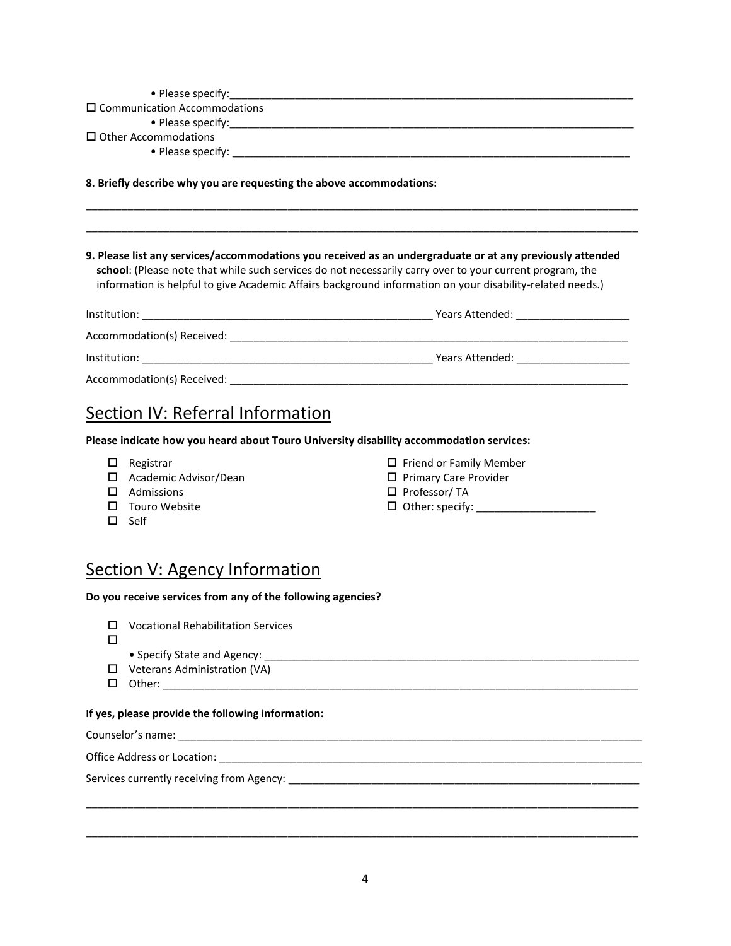| $\Box$ Communication Accommodations                                                                                                                                                                                                                                                                                                |  |
|------------------------------------------------------------------------------------------------------------------------------------------------------------------------------------------------------------------------------------------------------------------------------------------------------------------------------------|--|
|                                                                                                                                                                                                                                                                                                                                    |  |
| $\Box$ Other Accommodations                                                                                                                                                                                                                                                                                                        |  |
|                                                                                                                                                                                                                                                                                                                                    |  |
| 8. Briefly describe why you are requesting the above accommodations:                                                                                                                                                                                                                                                               |  |
|                                                                                                                                                                                                                                                                                                                                    |  |
| 9. Please list any services/accommodations you received as an undergraduate or at any previously attended<br>school: (Please note that while such services do not necessarily carry over to your current program, the<br>information is helpful to give Academic Affairs background information on your disability-related needs.) |  |
|                                                                                                                                                                                                                                                                                                                                    |  |
|                                                                                                                                                                                                                                                                                                                                    |  |
|                                                                                                                                                                                                                                                                                                                                    |  |
|                                                                                                                                                                                                                                                                                                                                    |  |
| Section IV: Referral Information                                                                                                                                                                                                                                                                                                   |  |

**Please indicate how you heard about Touro University disability accommodation services:**

- 
- $\Box$  Academic Advisor/Dean  $\Box$  Primary Care Provider
- $\square$  Admissions  $\square$  Professor/ TA
- 
- $\square$  Self
- $\Box$  Registrar  $\Box$  Friend or Family Member
	-
	-
- Touro Website Other: specify: \_\_\_\_\_\_\_\_\_\_\_\_\_\_\_\_\_\_\_\_

## Section V: Agency Information

#### **Do you receive services from any of the following agencies?**

|  |  | $\Box$ Vocational Rehabilitation Services |  |
|--|--|-------------------------------------------|--|
|--|--|-------------------------------------------|--|

- $\Box$ 
	- Specify State and Agency: \_\_\_\_\_\_\_\_\_\_\_\_\_\_\_\_\_\_\_\_\_\_\_\_\_\_\_\_\_\_\_\_\_\_\_\_\_\_\_\_\_\_\_\_\_\_\_\_\_\_\_\_\_\_\_\_\_\_\_\_\_\_\_
- □ Veterans Administration (VA)
- Other: \_\_\_\_\_\_\_\_\_\_\_\_\_\_\_\_\_\_\_\_\_\_\_\_\_\_\_\_\_\_\_\_\_\_\_\_\_\_\_\_\_\_\_\_\_\_\_\_\_\_\_\_\_\_\_\_\_\_\_\_\_\_\_\_\_\_\_\_\_\_\_\_\_\_\_\_\_\_\_\_

### **If yes, please provide the following information:**

Counselor's name: \_\_\_\_\_\_\_\_\_\_\_\_\_\_\_\_\_\_\_\_\_\_\_\_\_\_\_\_\_\_\_\_\_\_\_\_\_\_\_\_\_\_\_\_\_\_\_\_\_\_\_\_\_\_\_\_\_\_\_\_\_\_\_\_\_\_\_\_\_\_\_\_\_\_\_\_\_\_

Office Address or Location: \_\_\_\_\_\_\_\_\_\_\_\_\_\_\_\_\_\_\_\_\_\_\_\_\_\_\_\_\_\_\_\_\_\_\_\_\_\_\_\_\_\_\_\_\_\_\_\_\_\_\_\_\_\_\_\_\_\_\_\_\_\_\_\_\_\_\_\_\_\_\_

Services currently receiving from Agency: \_\_\_\_\_\_\_\_\_\_\_\_\_\_\_\_\_\_\_\_\_\_\_\_\_\_\_\_\_\_\_\_\_\_\_\_\_\_\_\_\_\_\_\_\_\_\_\_\_\_\_\_\_\_\_\_\_\_\_

\_\_\_\_\_\_\_\_\_\_\_\_\_\_\_\_\_\_\_\_\_\_\_\_\_\_\_\_\_\_\_\_\_\_\_\_\_\_\_\_\_\_\_\_\_\_\_\_\_\_\_\_\_\_\_\_\_\_\_\_\_\_\_\_\_\_\_\_\_\_\_\_\_\_\_\_\_\_\_\_\_\_\_\_\_\_\_\_\_\_\_\_\_

\_\_\_\_\_\_\_\_\_\_\_\_\_\_\_\_\_\_\_\_\_\_\_\_\_\_\_\_\_\_\_\_\_\_\_\_\_\_\_\_\_\_\_\_\_\_\_\_\_\_\_\_\_\_\_\_\_\_\_\_\_\_\_\_\_\_\_\_\_\_\_\_\_\_\_\_\_\_\_\_\_\_\_\_\_\_\_\_\_\_\_\_\_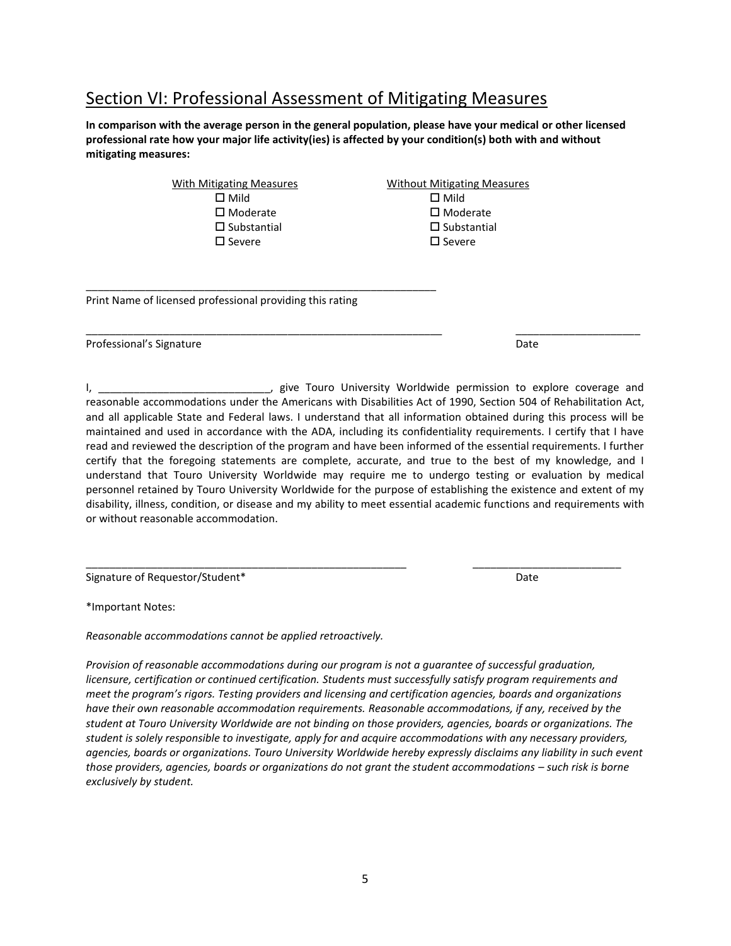## Section VI: Professional Assessment of Mitigating Measures

**In comparison with the average person in the general population, please have your medical or other licensed professional rate how your major life activity(ies) is affected by your condition(s) both with and without mitigating measures:**

> With Mitigating Measures **Without Mitigating Measures**  $\square$  Mild  $\square$  Mild  $\square$  Moderate  $\square$  Moderate  $\square$  Substantial  $\square$  Substantial  $\square$  Severe  $\square$  Severe

\_\_\_\_\_\_\_\_\_\_\_\_\_\_\_\_\_\_\_\_\_\_\_\_\_\_\_\_\_\_\_\_\_\_\_\_\_\_\_\_\_\_\_\_\_\_\_\_\_\_\_\_\_\_\_\_\_\_\_

Print Name of licensed professional providing this rating

Professional's Signature **Date** Date of Professional's Signature Date of Professional Date Date

I, \_\_\_\_\_\_\_\_\_\_\_\_\_\_\_\_\_\_\_\_\_\_\_\_\_\_\_\_\_, give Touro University Worldwide permission to explore coverage and reasonable accommodations under the Americans with Disabilities Act of 1990, Section 504 of Rehabilitation Act, and all applicable State and Federal laws. I understand that all information obtained during this process will be maintained and used in accordance with the ADA, including its confidentiality requirements. I certify that I have read and reviewed the description of the program and have been informed of the essential requirements. I further certify that the foregoing statements are complete, accurate, and true to the best of my knowledge, and I understand that Touro University Worldwide may require me to undergo testing or evaluation by medical personnel retained by Touro University Worldwide for the purpose of establishing the existence and extent of my disability, illness, condition, or disease and my ability to meet essential academic functions and requirements with or without reasonable accommodation.

\_\_\_\_\_\_\_\_\_\_\_\_\_\_\_\_\_\_\_\_\_\_\_\_\_\_\_\_\_\_\_\_\_\_\_\_\_\_\_\_\_\_\_\_\_\_\_\_\_\_\_\_\_\_\_\_\_\_\_\_ \_\_\_\_\_\_\_\_\_\_\_\_\_\_\_\_\_\_\_\_\_

Signature of Requestor/Student\* Date of Requestor  $\mathbb{R}^n$ 

\*Important Notes:

*Reasonable accommodations cannot be applied retroactively.*

*Provision of reasonable accommodations during our program is not a guarantee of successful graduation, licensure, certification or continued certification. Students must successfully satisfy program requirements and meet the program's rigors. Testing providers and licensing and certification agencies, boards and organizations have their own reasonable accommodation requirements. Reasonable accommodations, if any, received by the student at Touro University Worldwide are not binding on those providers, agencies, boards or organizations. The student is solely responsible to investigate, apply for and acquire accommodations with any necessary providers, agencies, boards or organizations. Touro University Worldwide hereby expressly disclaims any liability in such event those providers, agencies, boards or organizations do not grant the student accommodations – such risk is borne exclusively by student.* 

\_\_\_\_\_\_\_\_\_\_\_\_\_\_\_\_\_\_\_\_\_\_\_\_\_\_\_\_\_\_\_\_\_\_\_\_\_\_\_\_\_\_\_\_\_\_\_\_\_\_\_\_\_\_ \_\_\_\_\_\_\_\_\_\_\_\_\_\_\_\_\_\_\_\_\_\_\_\_\_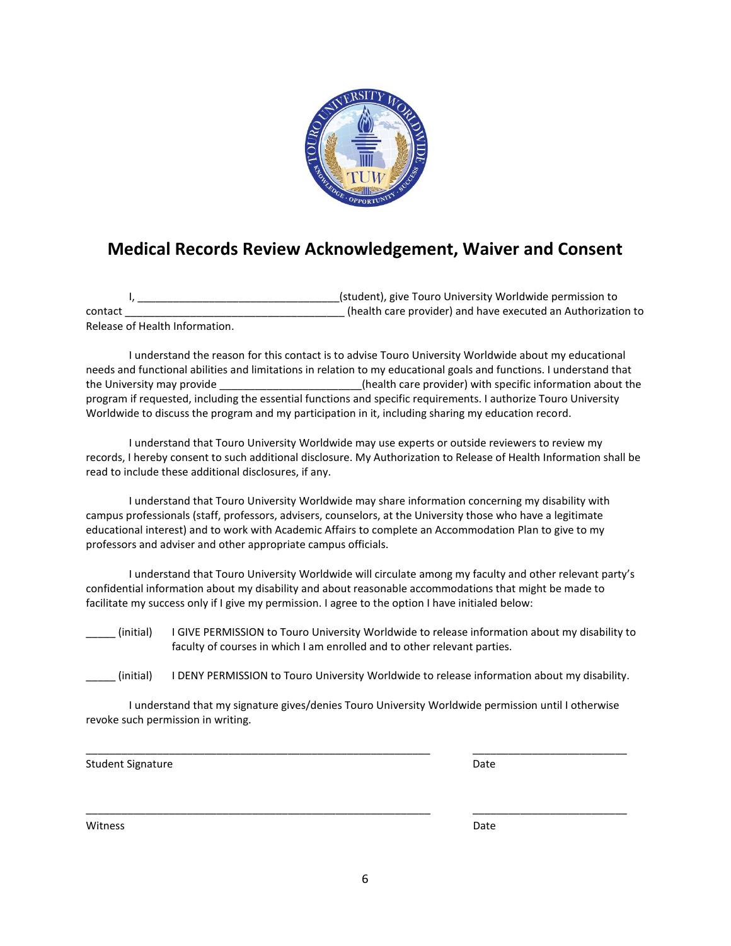

## **Medical Records Review Acknowledgement, Waiver and Consent**

I, \_\_\_\_\_\_\_\_\_\_\_\_\_\_\_\_\_\_\_\_\_\_\_\_\_\_\_\_\_\_\_\_\_\_(student), give Touro University Worldwide permission to contact \_\_\_\_\_\_\_\_\_\_\_\_\_\_\_\_\_\_\_\_\_\_\_\_\_\_\_\_\_\_\_\_\_\_\_\_\_ (health care provider) and have executed an Authorization to Release of Health Information.

I understand the reason for this contact is to advise Touro University Worldwide about my educational needs and functional abilities and limitations in relation to my educational goals and functions. I understand that the University may provide **Example 20** (health care provider) with specific information about the program if requested, including the essential functions and specific requirements. I authorize Touro University Worldwide to discuss the program and my participation in it, including sharing my education record.

I understand that Touro University Worldwide may use experts or outside reviewers to review my records, I hereby consent to such additional disclosure. My Authorization to Release of Health Information shall be read to include these additional disclosures, if any.

I understand that Touro University Worldwide may share information concerning my disability with campus professionals (staff, professors, advisers, counselors, at the University those who have a legitimate educational interest) and to work with Academic Affairs to complete an Accommodation Plan to give to my professors and adviser and other appropriate campus officials.

I understand that Touro University Worldwide will circulate among my faculty and other relevant party's confidential information about my disability and about reasonable accommodations that might be made to facilitate my success only if I give my permission. I agree to the option I have initialed below:

\_\_\_\_\_ (initial) I GIVE PERMISSION to Touro University Worldwide to release information about my disability to faculty of courses in which I am enrolled and to other relevant parties.

\_\_\_\_\_ (initial) I DENY PERMISSION to Touro University Worldwide to release information about my disability.

I understand that my signature gives/denies Touro University Worldwide permission until I otherwise revoke such permission in writing.

\_\_\_\_\_\_\_\_\_\_\_\_\_\_\_\_\_\_\_\_\_\_\_\_\_\_\_\_\_\_\_\_\_\_\_\_\_\_\_\_\_\_\_\_\_\_\_\_\_\_\_\_\_\_\_\_\_\_ \_\_\_\_\_\_\_\_\_\_\_\_\_\_\_\_\_\_\_\_\_\_\_\_\_\_

\_\_\_\_\_\_\_\_\_\_\_\_\_\_\_\_\_\_\_\_\_\_\_\_\_\_\_\_\_\_\_\_\_\_\_\_\_\_\_\_\_\_\_\_\_\_\_\_\_\_\_\_\_\_\_\_\_\_ \_\_\_\_\_\_\_\_\_\_\_\_\_\_\_\_\_\_\_\_\_\_\_\_\_\_

Student Signature Date

Witness **Date**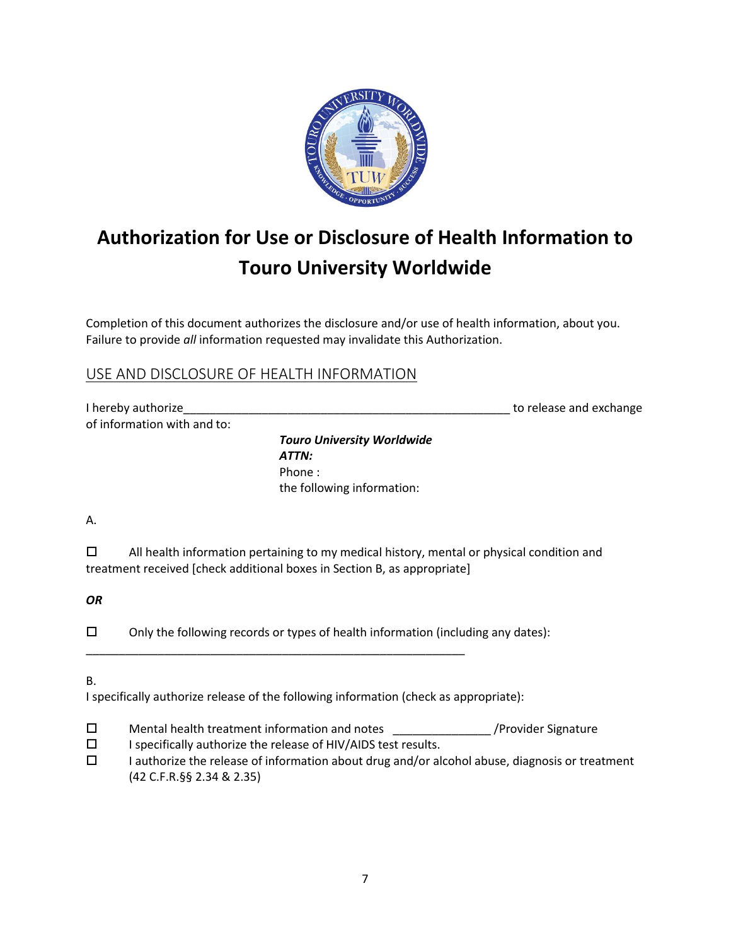

# **Authorization for Use or Disclosure of Health Information to Touro University Worldwide**

Completion of this document authorizes the disclosure and/or use of health information, about you. Failure to provide *all* information requested may invalidate this Authorization.

## USE AND DISCLOSURE OF HEALTH INFORMATION

| I hereby authorize          | to release and exchange |
|-----------------------------|-------------------------|
| of information with and to: |                         |

*Touro University Worldwide ATTN:* Phone : the following information:

A.

 $\Box$  All health information pertaining to my medical history, mental or physical condition and treatment received [check additional boxes in Section B, as appropriate]

*OR*

 $\square$  Only the following records or types of health information (including any dates):

B.

I specifically authorize release of the following information (check as appropriate):

- $\square$  Mental health treatment information and notes  $\rangle$ Provider Signature
- $\square$  I specifically authorize the release of HIV/AIDS test results.

\_\_\_\_\_\_\_\_\_\_\_\_\_\_\_\_\_\_\_\_\_\_\_\_\_\_\_\_\_\_\_\_\_\_\_\_\_\_\_\_\_\_\_\_\_\_\_\_\_\_\_\_\_\_\_\_\_\_

 $\square$  I authorize the release of information about drug and/or alcohol abuse, diagnosis or treatment (42 C.F.R.§§ 2.34 & 2.35)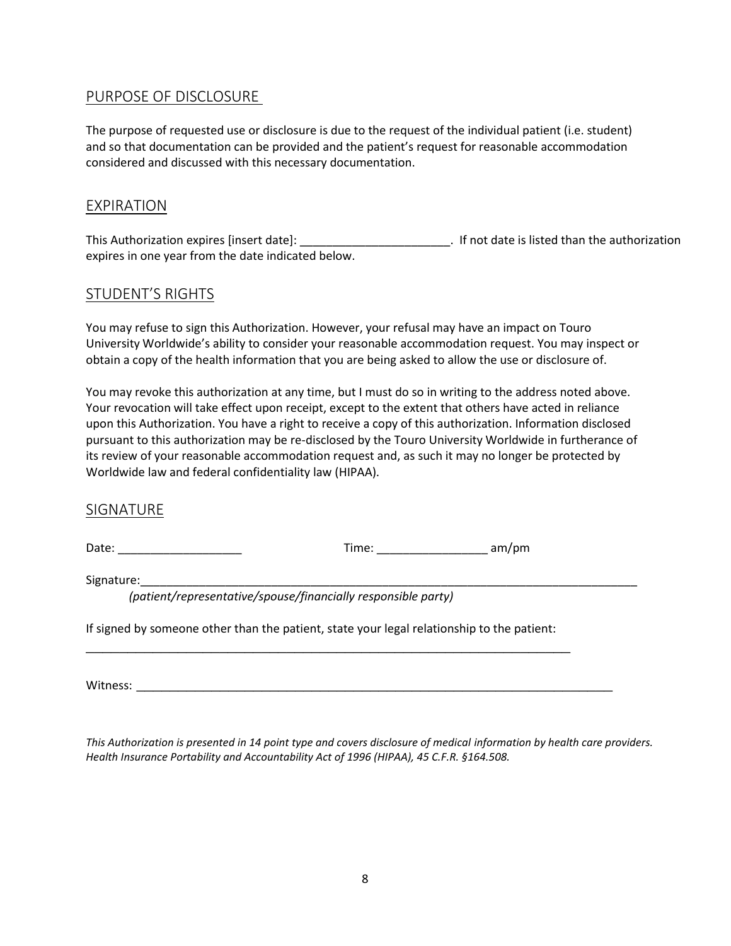### **PURPOSE OF DISCLOSURE**

The purpose of requested use or disclosure is due to the request of the individual patient (i.e. student) and so that documentation can be provided and the patient's request for reasonable accommodation considered and discussed with this necessary documentation.

### EXPIRATION

This Authorization expires [insert date]: \_\_\_\_\_\_\_\_\_\_\_\_\_\_\_\_\_\_\_\_\_\_\_. If not date is listed than the authorization expires in one year from the date indicated below.

## STUDENT'S RIGHTS

You may refuse to sign this Authorization. However, your refusal may have an impact on Touro University Worldwide's ability to consider your reasonable accommodation request. You may inspect or obtain a copy of the health information that you are being asked to allow the use or disclosure of.

You may revoke this authorization at any time, but I must do so in writing to the address noted above. Your revocation will take effect upon receipt, except to the extent that others have acted in reliance upon this Authorization. You have a right to receive a copy of this authorization. Information disclosed pursuant to this authorization may be re-disclosed by the Touro University Worldwide in furtherance of its review of your reasonable accommodation request and, as such it may no longer be protected by Worldwide law and federal confidentiality law (HIPAA).

### SIGNATURE

Date: \_\_\_\_\_\_\_\_\_\_\_\_\_\_\_\_\_\_\_ Time: \_\_\_\_\_\_\_\_\_\_\_\_\_\_\_\_\_ am/pm

Signature:\_\_\_\_\_\_\_\_\_\_\_\_\_\_\_\_\_\_\_\_\_\_\_\_\_\_\_\_\_\_\_\_\_\_\_\_\_\_\_\_\_\_\_\_\_\_\_\_\_\_\_\_\_\_\_\_\_\_\_\_\_\_\_\_\_\_\_\_\_\_\_\_\_\_\_\_ *(patient/representative/spouse/financially responsible party)*

If signed by someone other than the patient, state your legal relationship to the patient: \_\_\_\_\_\_\_\_\_\_\_\_\_\_\_\_\_\_\_\_\_\_\_\_\_\_\_\_\_\_\_\_\_\_\_\_\_\_\_\_\_\_\_\_\_\_\_\_\_\_\_\_\_\_\_\_\_\_

Witness: \_\_\_\_\_\_\_\_\_\_\_\_\_\_\_\_\_\_\_\_\_\_\_\_\_\_\_\_\_\_\_\_\_\_\_\_\_\_\_\_\_\_\_\_\_\_\_\_\_\_\_\_\_\_\_\_\_

*This Authorization is presented in 14 point type and covers disclosure of medical information by health care providers. Health Insurance Portability and Accountability Act of 1996 (HIPAA), 45 C.F.R. §164.508.*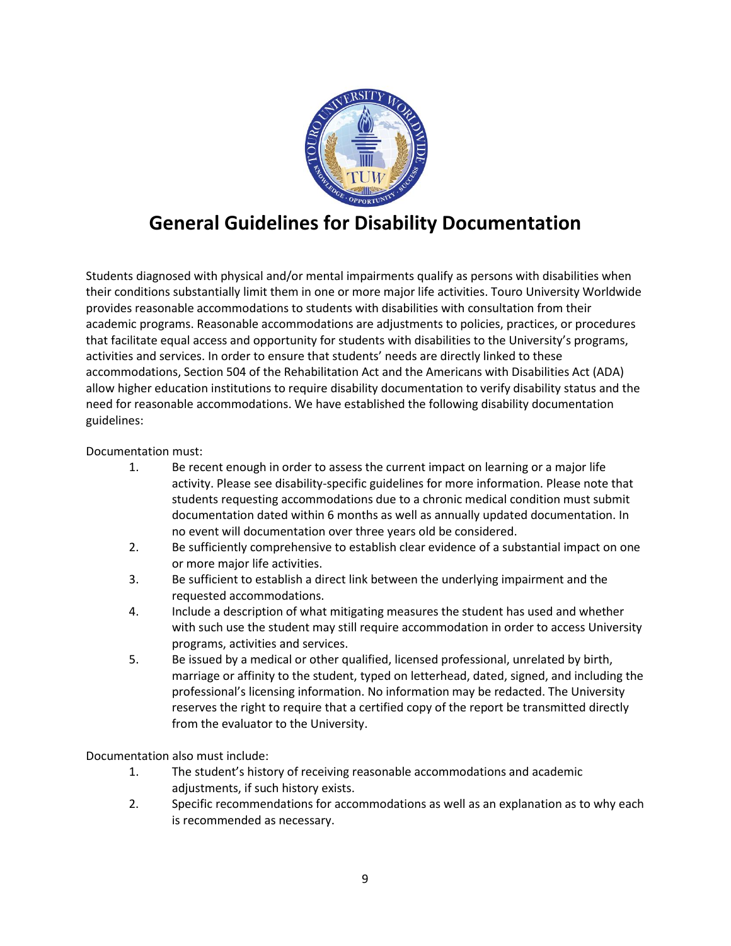

## **General Guidelines for Disability Documentation**

Students diagnosed with physical and/or mental impairments qualify as persons with disabilities when their conditions substantially limit them in one or more major life activities. Touro University Worldwide provides reasonable accommodations to students with disabilities with consultation from their academic programs. Reasonable accommodations are adjustments to policies, practices, or procedures that facilitate equal access and opportunity for students with disabilities to the University's programs, activities and services. In order to ensure that students' needs are directly linked to these accommodations, Section 504 of the Rehabilitation Act and the Americans with Disabilities Act (ADA) allow higher education institutions to require disability documentation to verify disability status and the need for reasonable accommodations. We have established the following disability documentation guidelines:

Documentation must:

- 1. Be recent enough in order to assess the current impact on learning or a major life activity. Please see disability-specific guidelines for more information. Please note that students requesting accommodations due to a chronic medical condition must submit documentation dated within 6 months as well as annually updated documentation. In no event will documentation over three years old be considered.
- 2. Be sufficiently comprehensive to establish clear evidence of a substantial impact on one or more major life activities.
- 3. Be sufficient to establish a direct link between the underlying impairment and the requested accommodations.
- 4. Include a description of what mitigating measures the student has used and whether with such use the student may still require accommodation in order to access University programs, activities and services.
- 5. Be issued by a medical or other qualified, licensed professional, unrelated by birth, marriage or affinity to the student, typed on letterhead, dated, signed, and including the professional's licensing information. No information may be redacted. The University reserves the right to require that a certified copy of the report be transmitted directly from the evaluator to the University.

Documentation also must include:

- 1. The student's history of receiving reasonable accommodations and academic adjustments, if such history exists.
- 2. Specific recommendations for accommodations as well as an explanation as to why each is recommended as necessary.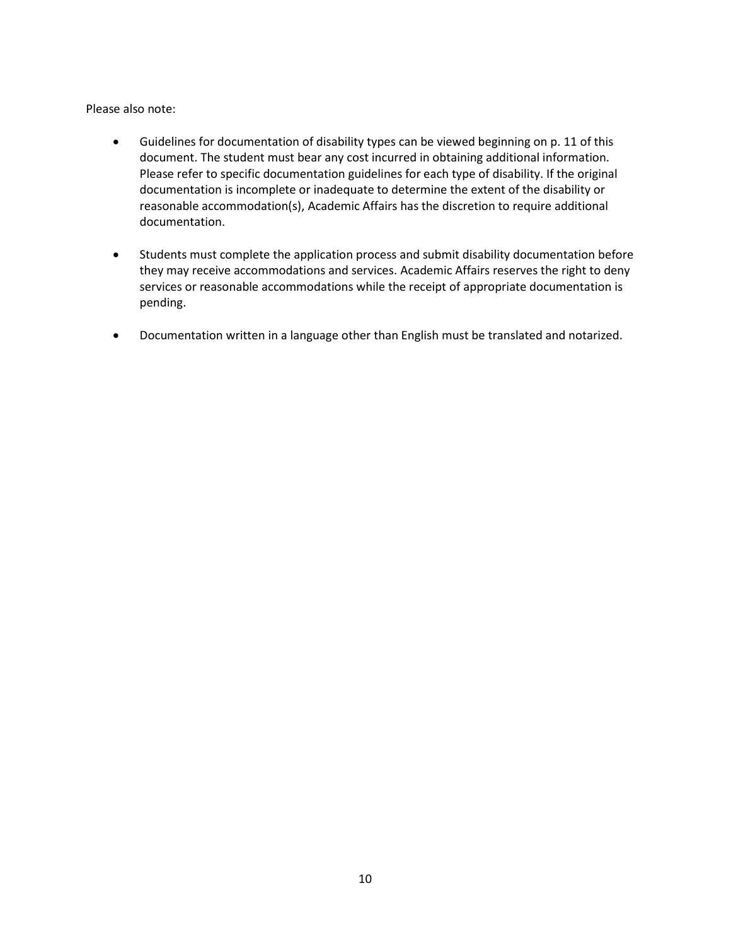Please also note:

- Guidelines for documentation of disability types can be viewed beginning on p. 11 of this document. The student must bear any cost incurred in obtaining additional information. Please refer to specific documentation guidelines for each type of disability. If the original documentation is incomplete or inadequate to determine the extent of the disability or reasonable accommodation(s), Academic Affairs has the discretion to require additional documentation.
- Students must complete the application process and submit disability documentation before they may receive accommodations and services. Academic Affairs reserves the right to deny services or reasonable accommodations while the receipt of appropriate documentation is pending.
- Documentation written in a language other than English must be translated and notarized.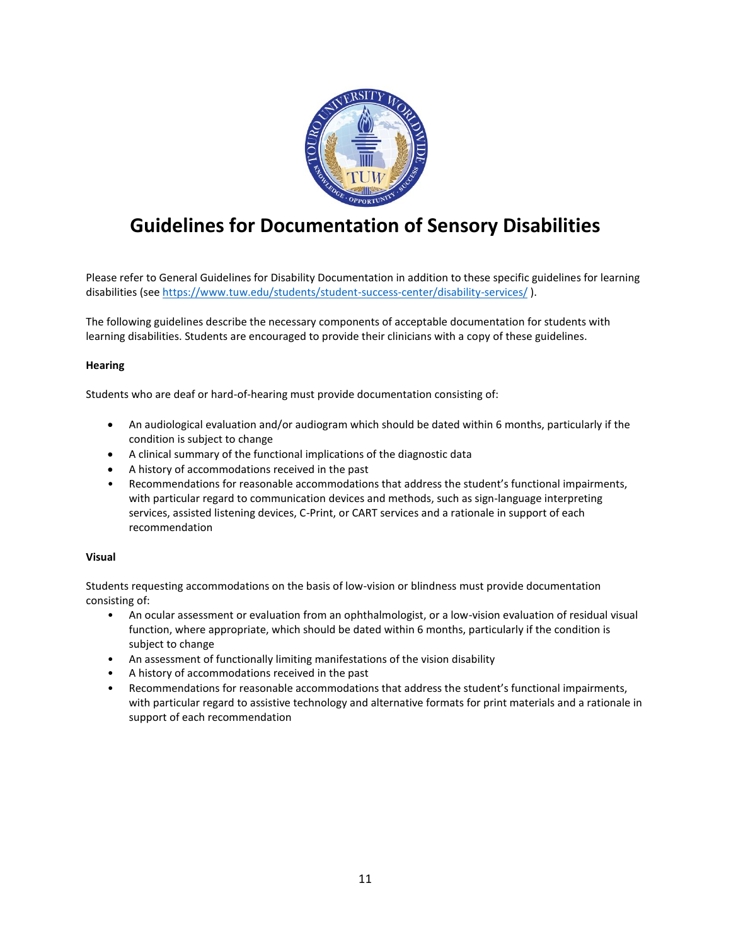

## **Guidelines for Documentation of Sensory Disabilities**

Please refer to General Guidelines for Disability Documentation in addition to these specific guidelines for learning disabilities (see<https://www.tuw.edu/students/student-success-center/disability-services/> ).

The following guidelines describe the necessary components of acceptable documentation for students with learning disabilities. Students are encouraged to provide their clinicians with a copy of these guidelines.

### **Hearing**

Students who are deaf or hard-of-hearing must provide documentation consisting of:

- An audiological evaluation and/or audiogram which should be dated within 6 months, particularly if the condition is subject to change
- A clinical summary of the functional implications of the diagnostic data
- A history of accommodations received in the past
- Recommendations for reasonable accommodations that address the student's functional impairments, with particular regard to communication devices and methods, such as sign-language interpreting services, assisted listening devices, C-Print, or CART services and a rationale in support of each recommendation

#### **Visual**

Students requesting accommodations on the basis of low-vision or blindness must provide documentation consisting of:

- An ocular assessment or evaluation from an ophthalmologist, or a low-vision evaluation of residual visual function, where appropriate, which should be dated within 6 months, particularly if the condition is subject to change
- An assessment of functionally limiting manifestations of the vision disability
- A history of accommodations received in the past
- Recommendations for reasonable accommodations that address the student's functional impairments, with particular regard to assistive technology and alternative formats for print materials and a rationale in support of each recommendation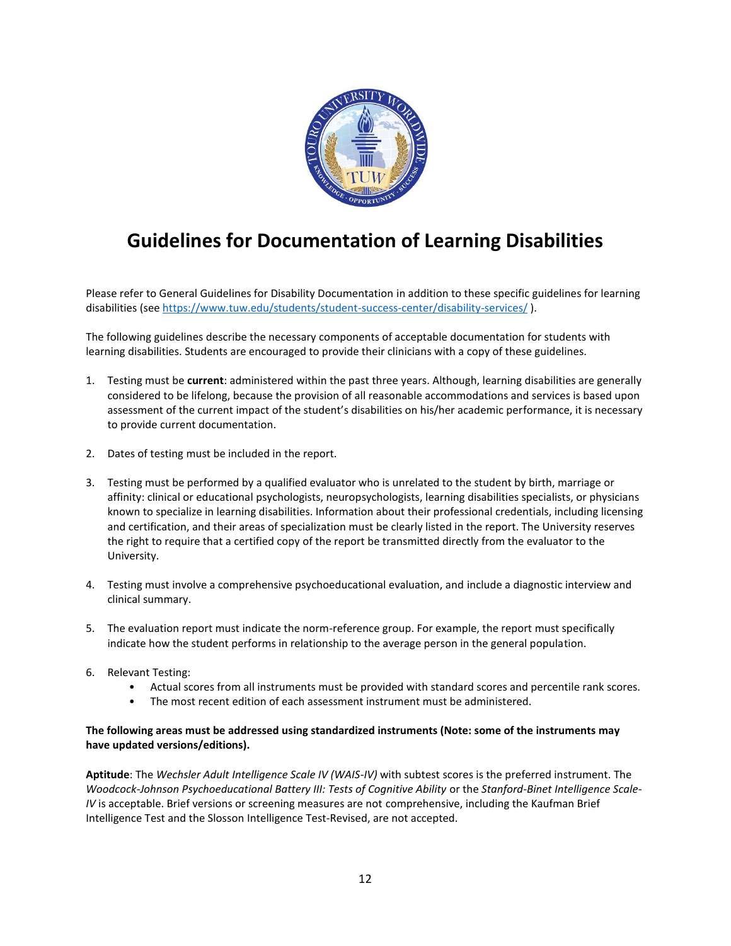

## **Guidelines for Documentation of Learning Disabilities**

Please refer to General Guidelines for Disability Documentation in addition to these specific guidelines for learning disabilities (see<https://www.tuw.edu/students/student-success-center/disability-services/> ).

The following guidelines describe the necessary components of acceptable documentation for students with learning disabilities. Students are encouraged to provide their clinicians with a copy of these guidelines.

- 1. Testing must be **current**: administered within the past three years. Although, learning disabilities are generally considered to be lifelong, because the provision of all reasonable accommodations and services is based upon assessment of the current impact of the student's disabilities on his/her academic performance, it is necessary to provide current documentation.
- 2. Dates of testing must be included in the report.
- 3. Testing must be performed by a qualified evaluator who is unrelated to the student by birth, marriage or affinity: clinical or educational psychologists, neuropsychologists, learning disabilities specialists, or physicians known to specialize in learning disabilities. Information about their professional credentials, including licensing and certification, and their areas of specialization must be clearly listed in the report. The University reserves the right to require that a certified copy of the report be transmitted directly from the evaluator to the University.
- 4. Testing must involve a comprehensive psychoeducational evaluation, and include a diagnostic interview and clinical summary.
- 5. The evaluation report must indicate the norm-reference group. For example, the report must specifically indicate how the student performs in relationship to the average person in the general population.
- 6. Relevant Testing:
	- Actual scores from all instruments must be provided with standard scores and percentile rank scores.
	- The most recent edition of each assessment instrument must be administered.

### **The following areas must be addressed using standardized instruments (Note: some of the instruments may have updated versions/editions).**

**Aptitude**: The *Wechsler Adult Intelligence Scale IV (WAIS-IV)* with subtest scores is the preferred instrument. The Woodcock-Johnson Psychoeducational Battery III: Tests of Cognitive Ability or the Stanford-Binet Intelligence Scale-*IV* is acceptable. Brief versions or screening measures are not comprehensive, including the Kaufman Brief Intelligence Test and the Slosson Intelligence Test-Revised, are not accepted.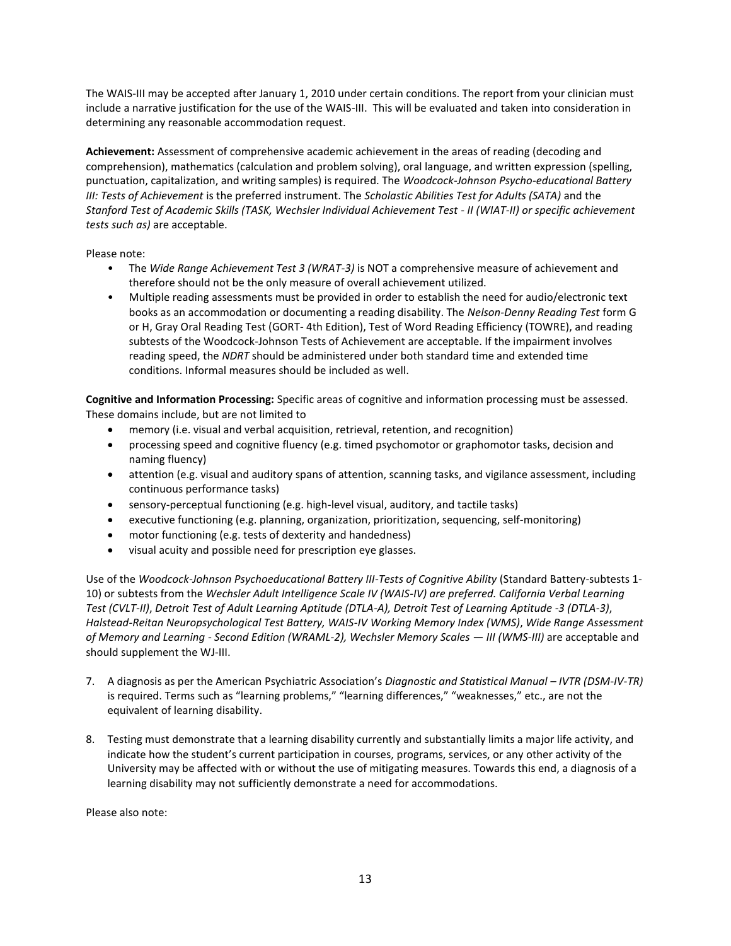The WAIS-III may be accepted after January 1, 2010 under certain conditions. The report from your clinician must include a narrative justification for the use of the WAIS-III. This will be evaluated and taken into consideration in determining any reasonable accommodation request.

**Achievement:** Assessment of comprehensive academic achievement in the areas of reading (decoding and comprehension), mathematics (calculation and problem solving), oral language, and written expression (spelling, punctuation, capitalization, and writing samples) is required. The *Woodcock-Johnson Psycho-educational Battery III: Tests of Achievement* is the preferred instrument. The *Scholastic Abilities Test for Adults (SATA)* and the *Stanford Test of Academic Skills (TASK, Wechsler Individual Achievement Test - II (WIAT-II) or specific achievement tests such as)* are acceptable.

Please note:

- The *Wide Range Achievement Test 3 (WRAT-3)* is NOT a comprehensive measure of achievement and therefore should not be the only measure of overall achievement utilized.
- Multiple reading assessments must be provided in order to establish the need for audio/electronic text books as an accommodation or documenting a reading disability. The *Nelson-Denny Reading Test* form G or H, Gray Oral Reading Test (GORT- 4th Edition), Test of Word Reading Efficiency (TOWRE), and reading subtests of the Woodcock-Johnson Tests of Achievement are acceptable. If the impairment involves reading speed, the *NDRT* should be administered under both standard time and extended time conditions. Informal measures should be included as well.

**Cognitive and Information Processing:** Specific areas of cognitive and information processing must be assessed. These domains include, but are not limited to

- memory (i.e. visual and verbal acquisition, retrieval, retention, and recognition)
- processing speed and cognitive fluency (e.g. timed psychomotor or graphomotor tasks, decision and naming fluency)
- attention (e.g. visual and auditory spans of attention, scanning tasks, and vigilance assessment, including continuous performance tasks)
- sensory-perceptual functioning (e.g. high-level visual, auditory, and tactile tasks)
- executive functioning (e.g. planning, organization, prioritization, sequencing, self-monitoring)
- motor functioning (e.g. tests of dexterity and handedness)
- visual acuity and possible need for prescription eye glasses.

Use of the *Woodcock-Johnson Psychoeducational Battery III-Tests of Cognitive Ability* (Standard Battery-subtests 1- 10) or subtests from the *Wechsler Adult Intelligence Scale IV (WAIS-IV) are preferred. California Verbal Learning Test (CVLT-II)*, *Detroit Test of Adult Learning Aptitude (DTLA-A), Detroit Test of Learning Aptitude -3 (DTLA-3)*, *Halstead-Reitan Neuropsychological Test Battery, WAIS-IV Working Memory Index (WMS)*, *Wide Range Assessment of Memory and Learning - Second Edition (WRAML-2), Wechsler Memory Scales — III (WMS-III)* are acceptable and should supplement the WJ-III.

- 7. A diagnosis as per the American Psychiatric Association's *Diagnostic and Statistical Manual – IVTR (DSM-IV-TR)*  is required. Terms such as "learning problems," "learning differences," "weaknesses," etc., are not the equivalent of learning disability.
- 8. Testing must demonstrate that a learning disability currently and substantially limits a major life activity, and indicate how the student's current participation in courses, programs, services, or any other activity of the University may be affected with or without the use of mitigating measures. Towards this end, a diagnosis of a learning disability may not sufficiently demonstrate a need for accommodations.

Please also note: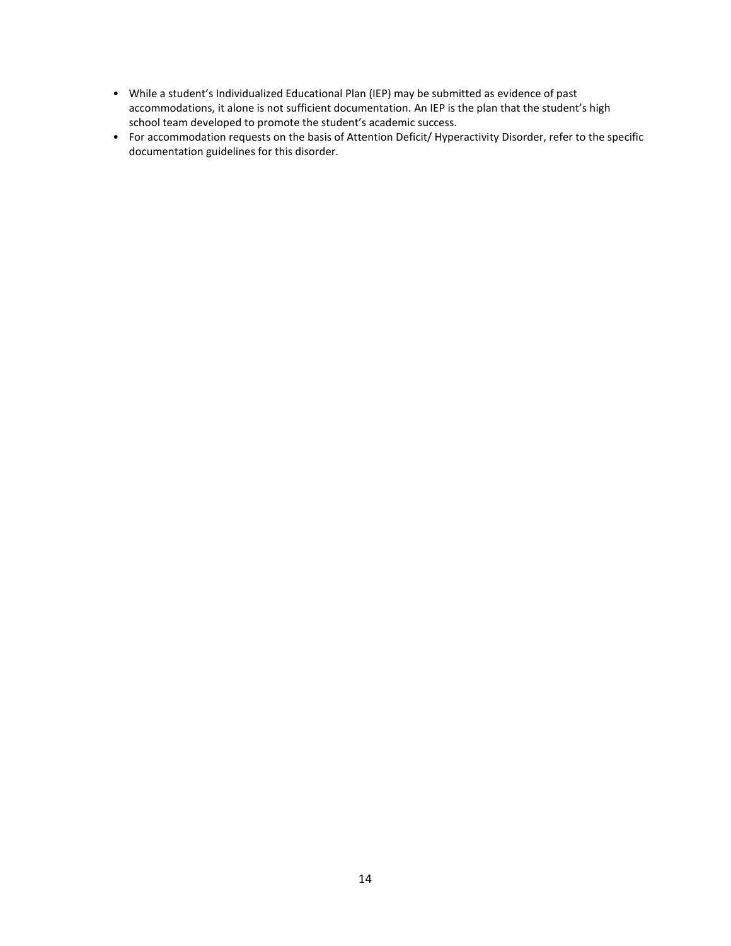- While a student's Individualized Educational Plan (IEP) may be submitted as evidence of past accommodations, it alone is not sufficient documentation. An IEP is the plan that the student's high school team developed to promote the student's academic success.
- For accommodation requests on the basis of Attention Deficit/ Hyperactivity Disorder, refer to the specific documentation guidelines for this disorder.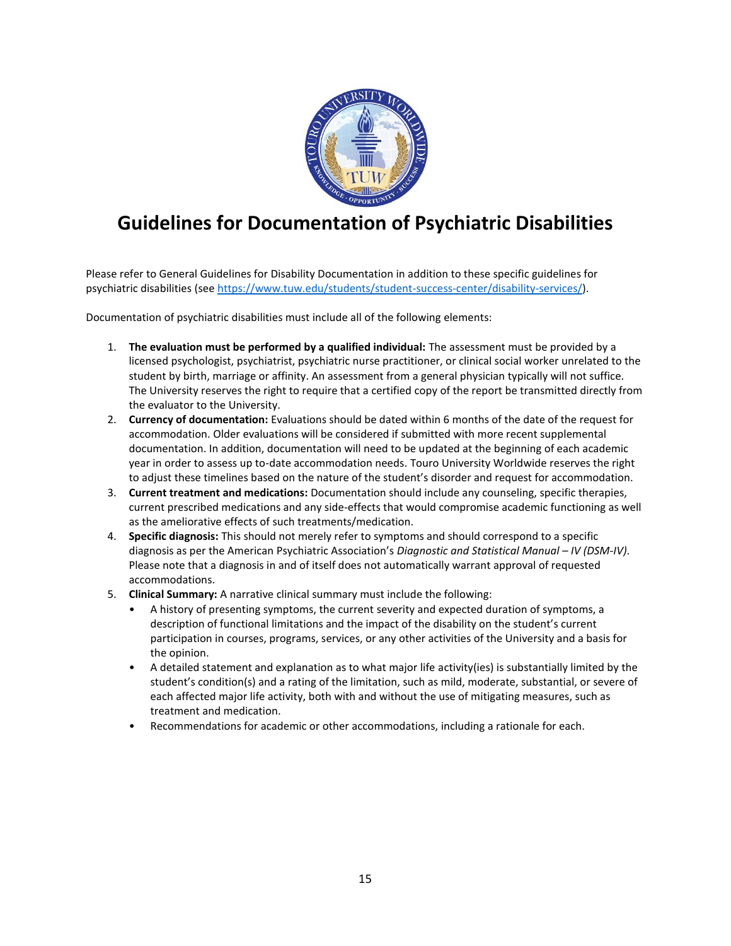

## **Guidelines for Documentation of Psychiatric Disabilities**

Please refer to General Guidelines for Disability Documentation in addition to these specific guidelines for psychiatric disabilities (see [https://www.tuw.edu/students/student-success-center/disability-services/\)](https://www.tuw.edu/students/student-success-center/disability-services/).

Documentation of psychiatric disabilities must include all of the following elements:

- 1. **The evaluation must be performed by a qualified individual:** The assessment must be provided by a licensed psychologist, psychiatrist, psychiatric nurse practitioner, or clinical social worker unrelated to the student by birth, marriage or affinity. An assessment from a general physician typically will not suffice. The University reserves the right to require that a certified copy of the report be transmitted directly from the evaluator to the University.
- 2. **Currency of documentation:** Evaluations should be dated within 6 months of the date of the request for accommodation. Older evaluations will be considered if submitted with more recent supplemental documentation. In addition, documentation will need to be updated at the beginning of each academic year in order to assess up to-date accommodation needs. Touro University Worldwide reserves the right to adjust these timelines based on the nature of the student's disorder and request for accommodation.
- 3. **Current treatment and medications:** Documentation should include any counseling, specific therapies, current prescribed medications and any side-effects that would compromise academic functioning as well as the ameliorative effects of such treatments/medication.
- 4. **Specific diagnosis:** This should not merely refer to symptoms and should correspond to a specific diagnosis as per the American Psychiatric Association's *Diagnostic and Statistical Manual – IV (DSM-IV)*. Please note that a diagnosis in and of itself does not automatically warrant approval of requested accommodations.
- 5. **Clinical Summary:** A narrative clinical summary must include the following:
	- A history of presenting symptoms, the current severity and expected duration of symptoms, a description of functional limitations and the impact of the disability on the student's current participation in courses, programs, services, or any other activities of the University and a basis for the opinion.
	- A detailed statement and explanation as to what major life activity(ies) is substantially limited by the student's condition(s) and a rating of the limitation, such as mild, moderate, substantial, or severe of each affected major life activity, both with and without the use of mitigating measures, such as treatment and medication.
	- Recommendations for academic or other accommodations, including a rationale for each.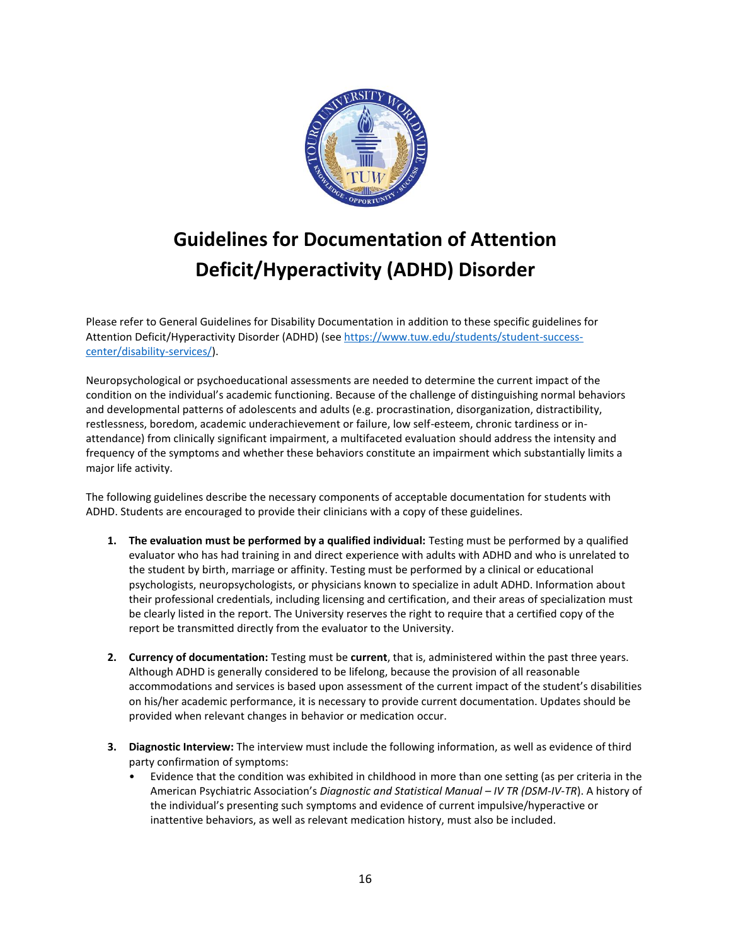

# **Guidelines for Documentation of Attention Deficit/Hyperactivity (ADHD) Disorder**

Please refer to General Guidelines for Disability Documentation in addition to these specific guidelines for Attention Deficit/Hyperactivity Disorder (ADHD) (se[e https://www.tuw.edu/students/student-success](https://www.tuw.edu/students/student-success-center/disability-services/)[center/disability-services/\)](https://www.tuw.edu/students/student-success-center/disability-services/).

Neuropsychological or psychoeducational assessments are needed to determine the current impact of the condition on the individual's academic functioning. Because of the challenge of distinguishing normal behaviors and developmental patterns of adolescents and adults (e.g. procrastination, disorganization, distractibility, restlessness, boredom, academic underachievement or failure, low self-esteem, chronic tardiness or inattendance) from clinically significant impairment, a multifaceted evaluation should address the intensity and frequency of the symptoms and whether these behaviors constitute an impairment which substantially limits a major life activity.

The following guidelines describe the necessary components of acceptable documentation for students with ADHD. Students are encouraged to provide their clinicians with a copy of these guidelines.

- **1. The evaluation must be performed by a qualified individual:** Testing must be performed by a qualified evaluator who has had training in and direct experience with adults with ADHD and who is unrelated to the student by birth, marriage or affinity. Testing must be performed by a clinical or educational psychologists, neuropsychologists, or physicians known to specialize in adult ADHD. Information about their professional credentials, including licensing and certification, and their areas of specialization must be clearly listed in the report. The University reserves the right to require that a certified copy of the report be transmitted directly from the evaluator to the University.
- **2. Currency of documentation:** Testing must be **current**, that is, administered within the past three years. Although ADHD is generally considered to be lifelong, because the provision of all reasonable accommodations and services is based upon assessment of the current impact of the student's disabilities on his/her academic performance, it is necessary to provide current documentation. Updates should be provided when relevant changes in behavior or medication occur.
- **3. Diagnostic Interview:** The interview must include the following information, as well as evidence of third party confirmation of symptoms:
	- Evidence that the condition was exhibited in childhood in more than one setting (as per criteria in the American Psychiatric Association's *Diagnostic and Statistical Manual – IV TR (DSM-IV-TR*). A history of the individual's presenting such symptoms and evidence of current impulsive/hyperactive or inattentive behaviors, as well as relevant medication history, must also be included.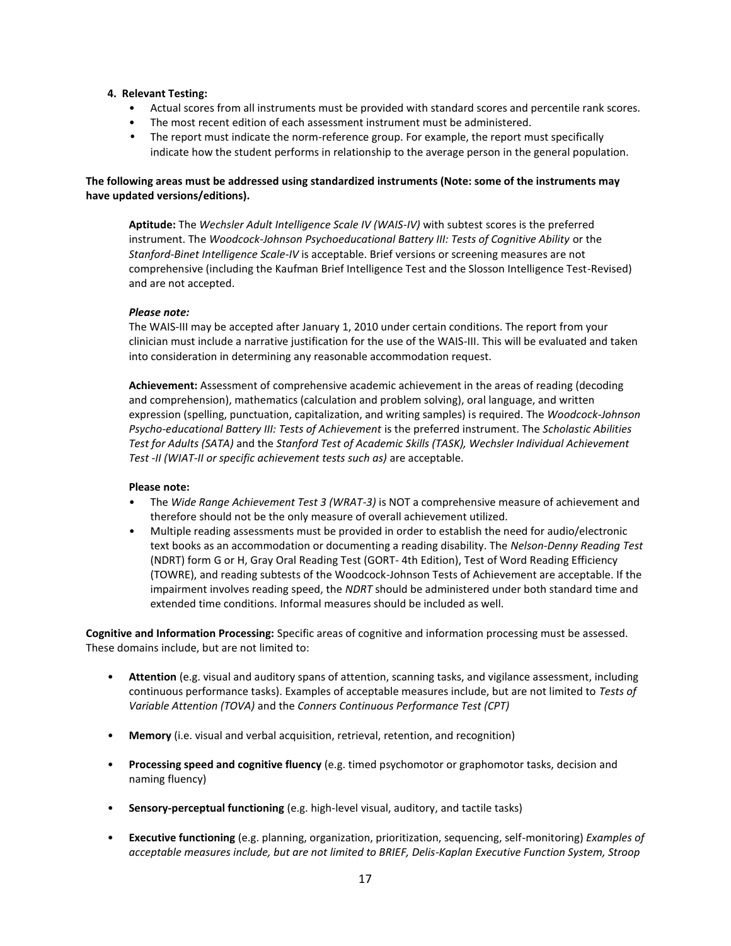### **4. Relevant Testing:**

- Actual scores from all instruments must be provided with standard scores and percentile rank scores.
- The most recent edition of each assessment instrument must be administered.
- The report must indicate the norm-reference group. For example, the report must specifically indicate how the student performs in relationship to the average person in the general population.

### **The following areas must be addressed using standardized instruments (Note: some of the instruments may have updated versions/editions).**

**Aptitude:** The *Wechsler Adult Intelligence Scale IV (WAIS-IV)* with subtest scores is the preferred instrument. The *Woodcock-Johnson Psychoeducational Battery III: Tests of Cognitive Ability or the Stanford-Binet Intelligence Scale-IV* is acceptable. Brief versions or screening measures are not comprehensive (including the Kaufman Brief Intelligence Test and the Slosson Intelligence Test-Revised) and are not accepted.

### *Please note:*

The WAIS-III may be accepted after January 1, 2010 under certain conditions. The report from your clinician must include a narrative justification for the use of the WAIS-III. This will be evaluated and taken into consideration in determining any reasonable accommodation request.

**Achievement:** Assessment of comprehensive academic achievement in the areas of reading (decoding and comprehension), mathematics (calculation and problem solving), oral language, and written expression (spelling, punctuation, capitalization, and writing samples) is required. The *Woodcock-Johnson Psycho-educational Battery III: Tests of Achievement* is the preferred instrument. The *Scholastic Abilities Test for Adults (SATA)* and the *Stanford Test of Academic Skills (TASK), Wechsler Individual Achievement Test -II (WIAT-II or specific achievement tests such as)* are acceptable.

#### **Please note:**

- The *Wide Range Achievement Test 3 (WRAT-3)* is NOT a comprehensive measure of achievement and therefore should not be the only measure of overall achievement utilized.
- Multiple reading assessments must be provided in order to establish the need for audio/electronic text books as an accommodation or documenting a reading disability. The *Nelson-Denny Reading Test*  (NDRT) form G or H, Gray Oral Reading Test (GORT- 4th Edition), Test of Word Reading Efficiency (TOWRE), and reading subtests of the Woodcock-Johnson Tests of Achievement are acceptable. If the impairment involves reading speed, the *NDRT* should be administered under both standard time and extended time conditions. Informal measures should be included as well.

**Cognitive and Information Processing:** Specific areas of cognitive and information processing must be assessed. These domains include, but are not limited to:

- **Attention** (e.g. visual and auditory spans of attention, scanning tasks, and vigilance assessment, including continuous performance tasks). Examples of acceptable measures include, but are not limited to *Tests of Variable Attention (TOVA)* and the *Conners Continuous Performance Test (CPT)*
- **Memory** (i.e. visual and verbal acquisition, retrieval, retention, and recognition)
- **Processing speed and cognitive fluency** (e.g. timed psychomotor or graphomotor tasks, decision and naming fluency)
- **Sensory-perceptual functioning** (e.g. high-level visual, auditory, and tactile tasks)
- **Executive functioning** (e.g. planning, organization, prioritization, sequencing, self-monitoring) *Examples of acceptable measures include, but are not limited to BRIEF, Delis-Kaplan Executive Function System, Stroop*